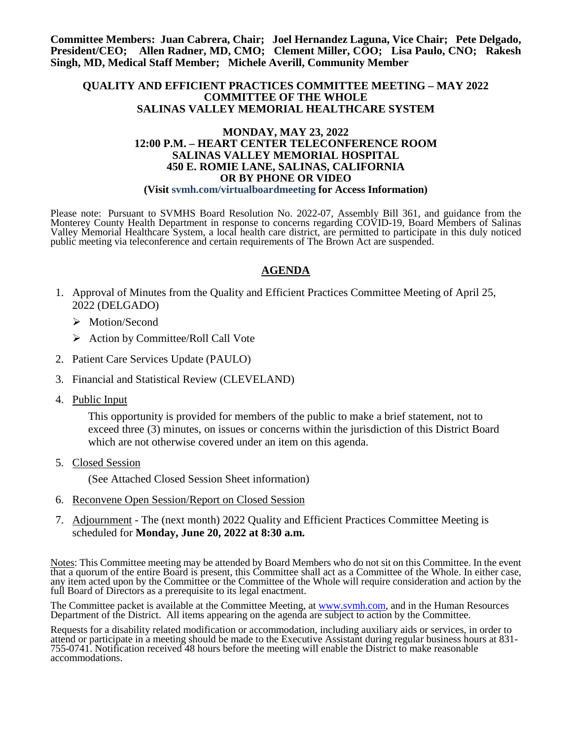**Committee Members: Juan Cabrera, Chair; Joel Hernandez Laguna, Vice Chair; Pete Delgado, President/CEO; Allen Radner, MD, CMO; Clement Miller, COO; Lisa Paulo, CNO; Rakesh Singh, MD, Medical Staff Member; Michele Averill, Community Member**

#### **QUALITY AND EFFICIENT PRACTICES COMMITTEE MEETING – MAY 2022 COMMITTEE OF THE WHOLE SALINAS VALLEY MEMORIAL HEALTHCARE SYSTEM**

#### **MONDAY, MAY 23, 2022 12:00 P.M. – HEART CENTER TELECONFERENCE ROOM SALINAS VALLEY MEMORIAL HOSPITAL 450 E. ROMIE LANE, SALINAS, CALIFORNIA OR BY PHONE OR VIDEO (Visit svmh.com/virtualboardmeeting for Access Information)**

Please note: Pursuant to SVMHS Board Resolution No. 2022-07, Assembly Bill 361, and guidance from the Monterey County Health Department in response to concerns regarding COVID-19, Board Members of Salinas Valley Memorial Healthcare System, a local health care district, are permitted to participate in this duly noticed public meeting via teleconference and certain requirements of The Brown Act are suspended.

# **AGENDA**

- 1. Approval of Minutes from the Quality and Efficient Practices Committee Meeting of April 25, 2022 (DELGADO)
	- > Motion/Second
	- $\triangleright$  Action by Committee/Roll Call Vote
- 2. Patient Care Services Update (PAULO)
- 3. Financial and Statistical Review (CLEVELAND)
- 4. Public Input

This opportunity is provided for members of the public to make a brief statement, not to exceed three (3) minutes, on issues or concerns within the jurisdiction of this District Board which are not otherwise covered under an item on this agenda.

5. Closed Session

(See Attached Closed Session Sheet information)

- 6. Reconvene Open Session/Report on Closed Session
- 7. Adjournment The (next month) 2022 Quality and Efficient Practices Committee Meeting is scheduled for **Monday, June 20, 2022 at 8:30 a.m.**

Notes: This Committee meeting may be attended by Board Members who do not sit on this Committee. In the event that a quorum of the entire Board is present, this Committee shall act as a Committee of the Whole. In either case, any item acted upon by the Committee or the Committee of the Whole will require consideration and action by the full Board of Directors as a prerequisite to its legal enactment.

The Committee packet is available at the Committee Meeting, at [www.svmh.com,](http://www.svmh.com/) and in the Human Resources Department of the District. All items appearing on the agenda are subject to action by the Committee.

Requests for a disability related modification or accommodation, including auxiliary aids or services, in order to attend or participate in a meeting should be made to the Executive Assistant during regular business hours at 831- 755-0741. Notification received 48 hours before the meeting will enable the District to make reasonable accommodations.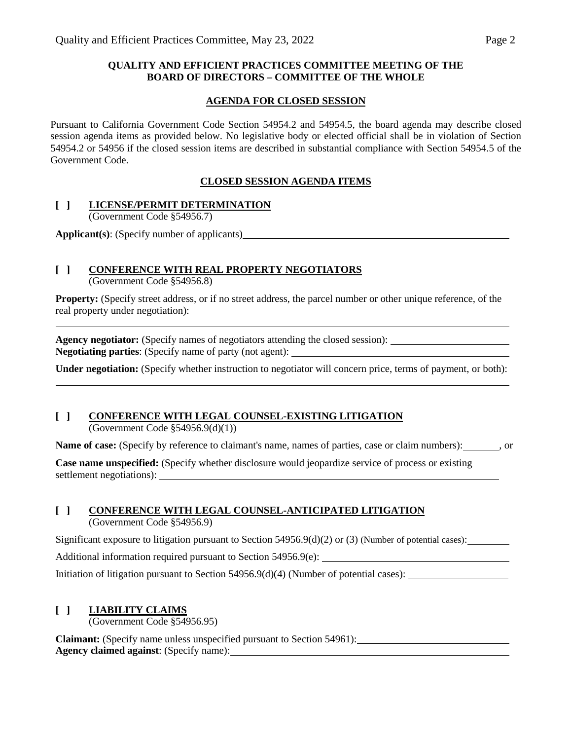### **QUALITY AND EFFICIENT PRACTICES COMMITTEE MEETING OF THE BOARD OF DIRECTORS – COMMITTEE OF THE WHOLE**

#### **AGENDA FOR CLOSED SESSION**

Pursuant to California Government Code Section 54954.2 and 54954.5, the board agenda may describe closed session agenda items as provided below. No legislative body or elected official shall be in violation of Section 54954.2 or 54956 if the closed session items are described in substantial compliance with Section 54954.5 of the Government Code.

### **CLOSED SESSION AGENDA ITEMS**

#### **[ ] LICENSE/PERMIT DETERMINATION**

(Government Code §54956.7)

**Applicant(s)**: (Specify number of applicants)

# **[ ] CONFERENCE WITH REAL PROPERTY NEGOTIATORS**

(Government Code §54956.8)

**Property:** (Specify street address, or if no street address, the parcel number or other unique reference, of the real property under negotiation):

**Agency negotiator:** (Specify names of negotiators attending the closed session): **Negotiating parties**: (Specify name of party (not agent):

**Under negotiation:** (Specify whether instruction to negotiator will concern price, terms of payment, or both):

## **[ ] CONFERENCE WITH LEGAL COUNSEL-EXISTING LITIGATION**

(Government Code §54956.9(d)(1))

**Name of case:** (Specify by reference to claimant's name, names of parties, case or claim numbers): , or

**Case name unspecified:** (Specify whether disclosure would jeopardize service of process or existing settlement negotiations):

### **[ ] CONFERENCE WITH LEGAL COUNSEL-ANTICIPATED LITIGATION**

(Government Code §54956.9)

Significant exposure to litigation pursuant to Section  $54956.9(d)(2)$  or (3) (Number of potential cases):

Additional information required pursuant to Section 54956.9(e):

Initiation of litigation pursuant to Section 54956.9(d)(4) (Number of potential cases):

### **[ ] LIABILITY CLAIMS**

(Government Code §54956.95)

**Claimant:** (Specify name unless unspecified pursuant to Section 54961): **Agency claimed against**: (Specify name):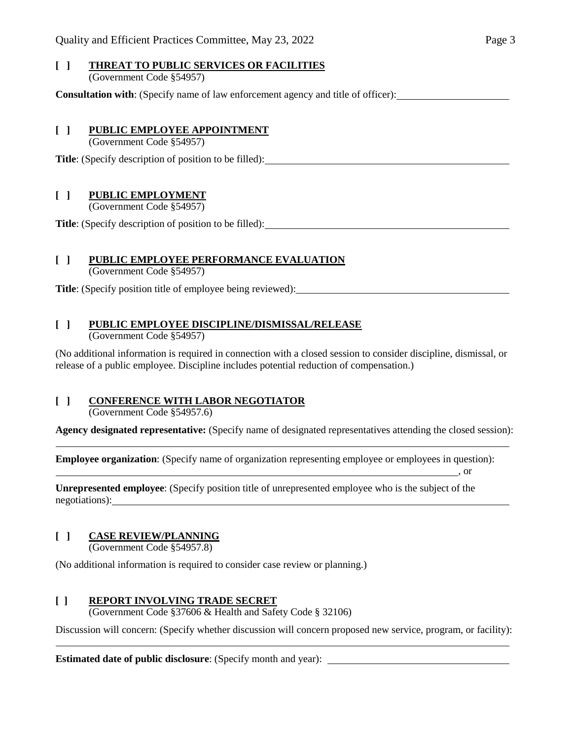#### **[ ] THREAT TO PUBLIC SERVICES OR FACILITIES** (Government Code §54957)

**Consultation with**: (Specify name of law enforcement agency and title of officer):

#### **[ ] PUBLIC EMPLOYEE APPOINTMENT**

(Government Code §54957)

**Title**: (Specify description of position to be filled):

### **[ ] PUBLIC EMPLOYMENT**

(Government Code §54957)

**Title**: (Specify description of position to be filled):

### **[ ] PUBLIC EMPLOYEE PERFORMANCE EVALUATION**

(Government Code §54957)

**Title**: (Specify position title of employee being reviewed):

### **[ ] PUBLIC EMPLOYEE DISCIPLINE/DISMISSAL/RELEASE**

(Government Code §54957)

(No additional information is required in connection with a closed session to consider discipline, dismissal, or release of a public employee. Discipline includes potential reduction of compensation.)

# **[ ] CONFERENCE WITH LABOR NEGOTIATOR**

(Government Code §54957.6)

**Agency designated representative:** (Specify name of designated representatives attending the closed session):

, or

**Employee organization**: (Specify name of organization representing employee or employees in question):

**Unrepresented employee**: (Specify position title of unrepresented employee who is the subject of the negotiations):

# **[ ] CASE REVIEW/PLANNING**

 $\overline{a}$ 

(Government Code §54957.8)

(No additional information is required to consider case review or planning.)

### **[ ] REPORT INVOLVING TRADE SECRET**

(Government Code §37606 & Health and Safety Code § 32106)

Discussion will concern: (Specify whether discussion will concern proposed new service, program, or facility):

**Estimated date of public disclosure**: (Specify month and year):